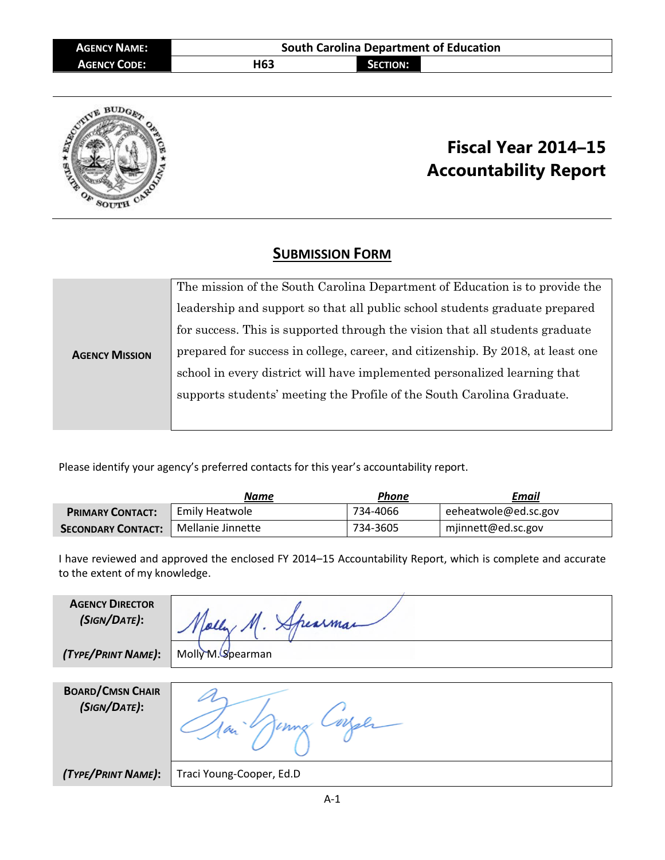| <b>AGENCY NAME:</b> | <b>South Carolina Department of Education</b> |                 |  |
|---------------------|-----------------------------------------------|-----------------|--|
| <b>AGENCY CODE:</b> | H63                                           | <b>SECTION:</b> |  |
|                     |                                               |                 |  |



## **Fiscal Year 2014–15 Accountability Report**

## **SUBMISSION FORM**

|                       | The mission of the South Carolina Department of Education is to provide the     |  |  |
|-----------------------|---------------------------------------------------------------------------------|--|--|
| <b>AGENCY MISSION</b> | leadership and support so that all public school students graduate prepared     |  |  |
|                       | for success. This is supported through the vision that all students graduate    |  |  |
|                       | prepared for success in college, career, and citizenship. By 2018, at least one |  |  |
|                       | school in every district will have implemented personalized learning that       |  |  |
|                       | supports students' meeting the Profile of the South Carolina Graduate.          |  |  |
|                       |                                                                                 |  |  |

Please identify your agency's preferred contacts for this year's accountability report.

|                           | Name              | Phone    | Email                |
|---------------------------|-------------------|----------|----------------------|
| <b>PRIMARY CONTACT:</b>   | Emily Heatwole    | 734-4066 | eeheatwole@ed.sc.gov |
| <b>SECONDARY CONTACT:</b> | Mellanie Jinnette | 734-3605 | mjinnett@ed.sc.gov   |

I have reviewed and approved the enclosed FY 2014–15 Accountability Report, which is complete and accurate to the extent of my knowledge.

| <b>AGENCY DIRECTOR</b><br>(SIGN/DATE):  |                          |
|-----------------------------------------|--------------------------|
| (TYPE/PRINT NAME):                      | Molly M. Spearman        |
|                                         |                          |
| <b>BOARD/CMSN CHAIR</b><br>(SIGN/DATE): | bи                       |
| (TYPE/PRINT NAME):                      | Traci Young-Cooper, Ed.D |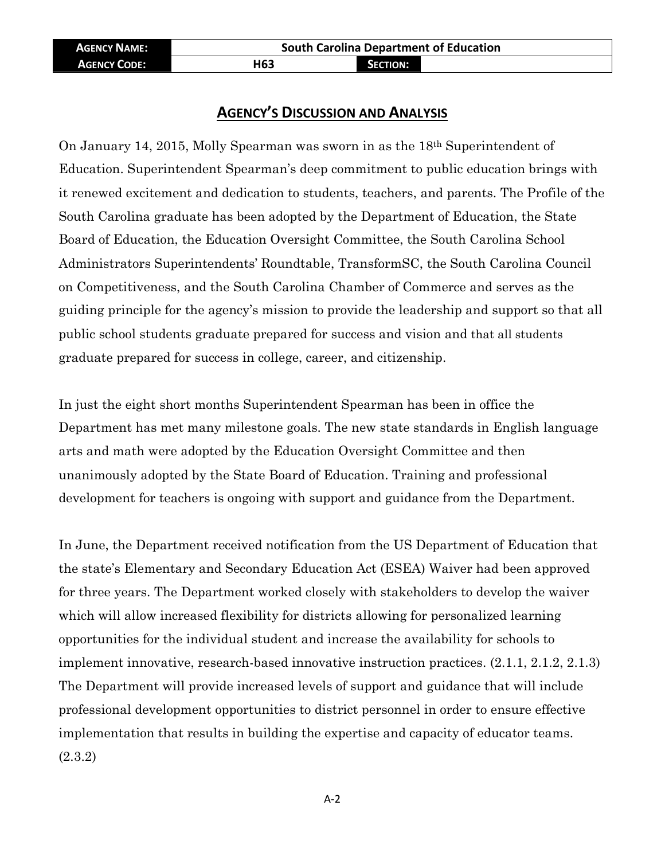## **AGENCY'S DISCUSSION AND ANALYSIS**

On January 14, 2015, Molly Spearman was sworn in as the 18th Superintendent of Education. Superintendent Spearman's deep commitment to public education brings with it renewed excitement and dedication to students, teachers, and parents. The Profile of the South Carolina graduate has been adopted by the Department of Education, the State Board of Education, the Education Oversight Committee, the South Carolina School Administrators Superintendents' Roundtable, TransformSC, the South Carolina Council on Competitiveness, and the South Carolina Chamber of Commerce and serves as the guiding principle for the agency's mission to provide the leadership and support so that all public school students graduate prepared for success and vision and that all students graduate prepared for success in college, career, and citizenship.

In just the eight short months Superintendent Spearman has been in office the Department has met many milestone goals. The new state standards in English language arts and math were adopted by the Education Oversight Committee and then unanimously adopted by the State Board of Education. Training and professional development for teachers is ongoing with support and guidance from the Department.

In June, the Department received notification from the US Department of Education that the state's Elementary and Secondary Education Act (ESEA) Waiver had been approved for three years. The Department worked closely with stakeholders to develop the waiver which will allow increased flexibility for districts allowing for personalized learning opportunities for the individual student and increase the availability for schools to implement innovative, research-based innovative instruction practices. (2.1.1, 2.1.2, 2.1.3) The Department will provide increased levels of support and guidance that will include professional development opportunities to district personnel in order to ensure effective implementation that results in building the expertise and capacity of educator teams. (2.3.2)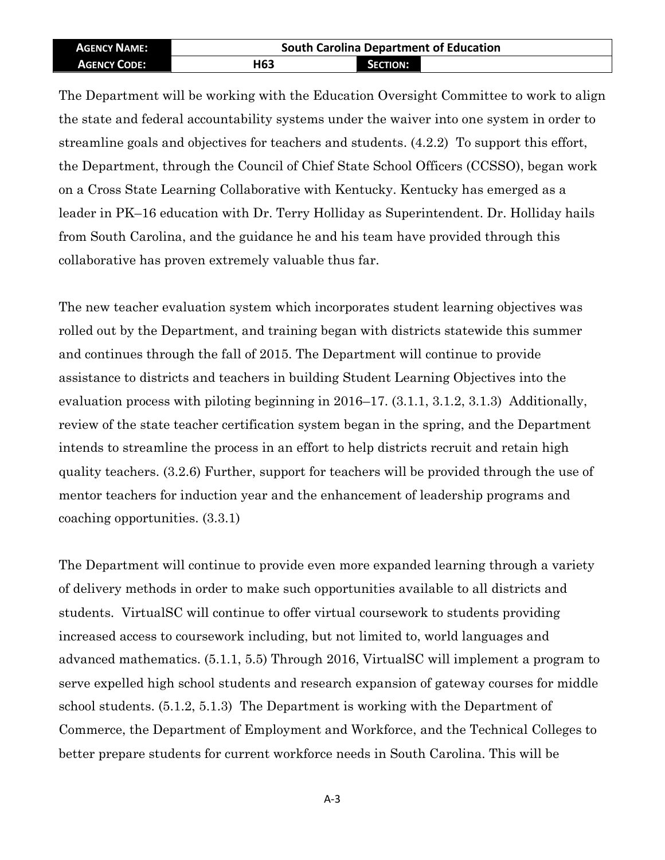| <b>AGENCY NAME:</b> | <b>South Carolina Department of Education</b> |                 |  |
|---------------------|-----------------------------------------------|-----------------|--|
| <b>AGENCY CODE:</b> | H <sub>63</sub>                               | <b>SECTION:</b> |  |

The Department will be working with the Education Oversight Committee to work to align the state and federal accountability systems under the waiver into one system in order to streamline goals and objectives for teachers and students. (4.2.2) To support this effort, the Department, through the Council of Chief State School Officers (CCSSO), began work on a Cross State Learning Collaborative with Kentucky. Kentucky has emerged as a leader in PK–16 education with Dr. Terry Holliday as Superintendent. Dr. Holliday hails from South Carolina, and the guidance he and his team have provided through this collaborative has proven extremely valuable thus far.

The new teacher evaluation system which incorporates student learning objectives was rolled out by the Department, and training began with districts statewide this summer and continues through the fall of 2015. The Department will continue to provide assistance to districts and teachers in building Student Learning Objectives into the evaluation process with piloting beginning in 2016–17. (3.1.1, 3.1.2, 3.1.3) Additionally, review of the state teacher certification system began in the spring, and the Department intends to streamline the process in an effort to help districts recruit and retain high quality teachers. (3.2.6) Further, support for teachers will be provided through the use of mentor teachers for induction year and the enhancement of leadership programs and coaching opportunities. (3.3.1)

The Department will continue to provide even more expanded learning through a variety of delivery methods in order to make such opportunities available to all districts and students. VirtualSC will continue to offer virtual coursework to students providing increased access to coursework including, but not limited to, world languages and advanced mathematics. (5.1.1, 5.5) Through 2016, VirtualSC will implement a program to serve expelled high school students and research expansion of gateway courses for middle school students. (5.1.2, 5.1.3) The Department is working with the Department of Commerce, the Department of Employment and Workforce, and the Technical Colleges to better prepare students for current workforce needs in South Carolina. This will be

A-3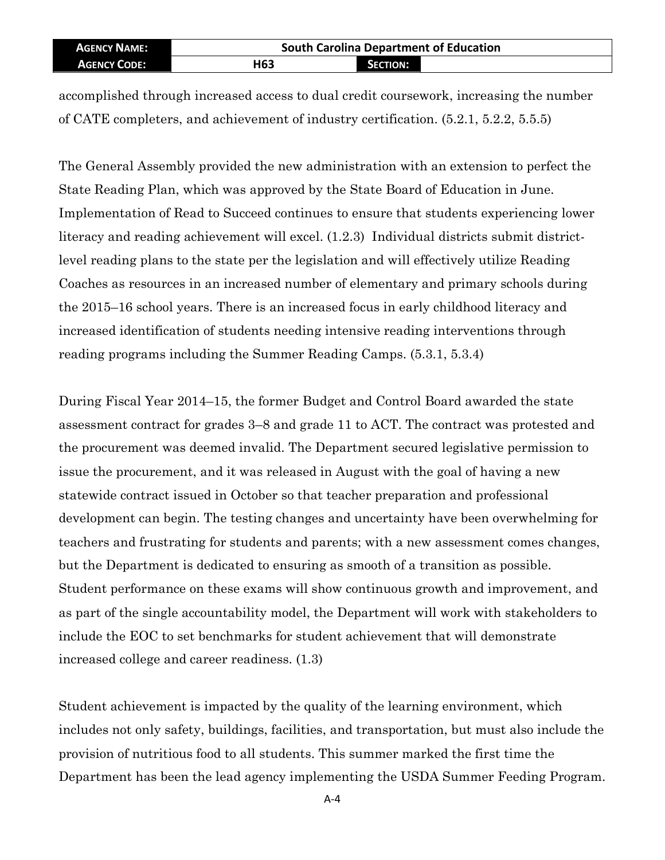| <b>AGENCY NAME:</b> | <b>South Carolina Department of Education</b> |                 |  |
|---------------------|-----------------------------------------------|-----------------|--|
| <b>AGENCY CODE:</b> | H63                                           | <b>SECTION:</b> |  |

accomplished through increased access to dual credit coursework, increasing the number of CATE completers, and achievement of industry certification. (5.2.1, 5.2.2, 5.5.5)

The General Assembly provided the new administration with an extension to perfect the State Reading Plan, which was approved by the State Board of Education in June. Implementation of Read to Succeed continues to ensure that students experiencing lower literacy and reading achievement will excel. (1.2.3) Individual districts submit districtlevel reading plans to the state per the legislation and will effectively utilize Reading Coaches as resources in an increased number of elementary and primary schools during the 2015–16 school years. There is an increased focus in early childhood literacy and increased identification of students needing intensive reading interventions through reading programs including the Summer Reading Camps. (5.3.1, 5.3.4)

During Fiscal Year 2014–15, the former Budget and Control Board awarded the state assessment contract for grades 3–8 and grade 11 to ACT. The contract was protested and the procurement was deemed invalid. The Department secured legislative permission to issue the procurement, and it was released in August with the goal of having a new statewide contract issued in October so that teacher preparation and professional development can begin. The testing changes and uncertainty have been overwhelming for teachers and frustrating for students and parents; with a new assessment comes changes, but the Department is dedicated to ensuring as smooth of a transition as possible. Student performance on these exams will show continuous growth and improvement, and as part of the single accountability model, the Department will work with stakeholders to include the EOC to set benchmarks for student achievement that will demonstrate increased college and career readiness. (1.3)

Student achievement is impacted by the quality of the learning environment, which includes not only safety, buildings, facilities, and transportation, but must also include the provision of nutritious food to all students. This summer marked the first time the Department has been the lead agency implementing the USDA Summer Feeding Program.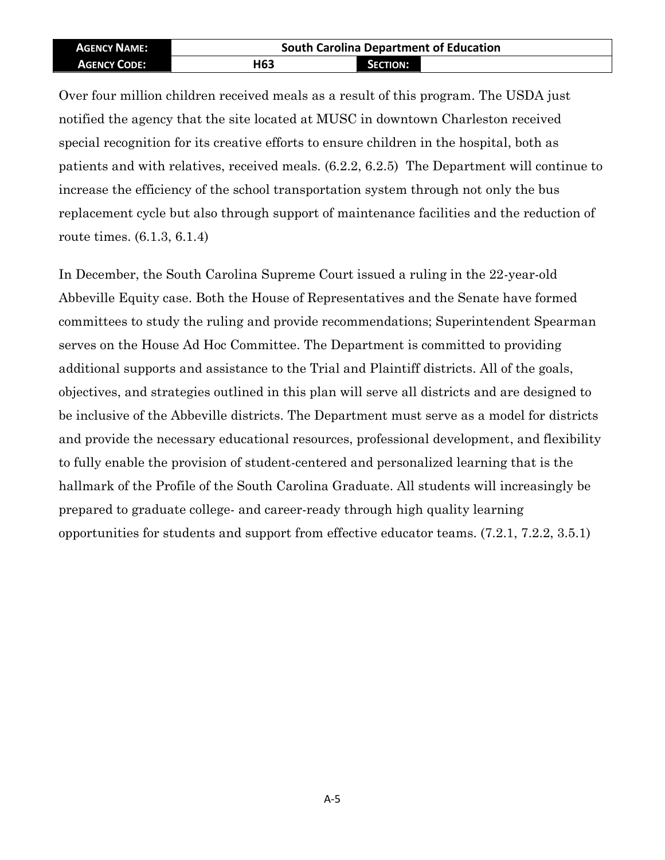| <b>AGENCY NAME:</b> | <b>South Carolina Department of Education</b> |                 |  |
|---------------------|-----------------------------------------------|-----------------|--|
| <b>AGENCY CODE:</b> | H <sub>63</sub>                               | <b>SECTION:</b> |  |

Over four million children received meals as a result of this program. The USDA just notified the agency that the site located at MUSC in downtown Charleston received special recognition for its creative efforts to ensure children in the hospital, both as patients and with relatives, received meals. (6.2.2, 6.2.5) The Department will continue to increase the efficiency of the school transportation system through not only the bus replacement cycle but also through support of maintenance facilities and the reduction of route times. (6.1.3, 6.1.4)

In December, the South Carolina Supreme Court issued a ruling in the 22-year-old Abbeville Equity case. Both the House of Representatives and the Senate have formed committees to study the ruling and provide recommendations; Superintendent Spearman serves on the House Ad Hoc Committee. The Department is committed to providing additional supports and assistance to the Trial and Plaintiff districts. All of the goals, objectives, and strategies outlined in this plan will serve all districts and are designed to be inclusive of the Abbeville districts. The Department must serve as a model for districts and provide the necessary educational resources, professional development, and flexibility to fully enable the provision of student-centered and personalized learning that is the hallmark of the Profile of the South Carolina Graduate. All students will increasingly be prepared to graduate college- and career-ready through high quality learning opportunities for students and support from effective educator teams. (7.2.1, 7.2.2, 3.5.1)